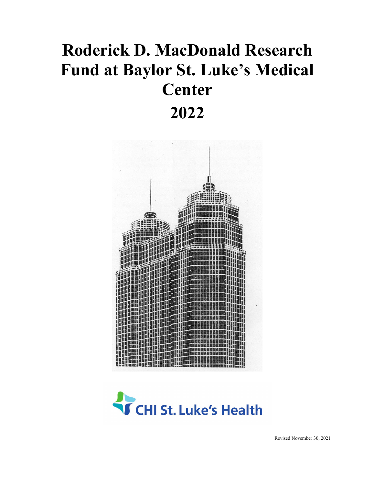# **Roderick D. MacDonald Research Fund at Baylor St. Luke's Medical Center 2022**





Revised November 30, 2021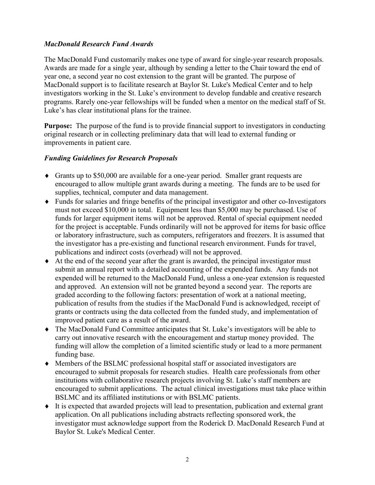#### *MacDonald Research Fund Awards*

The MacDonald Fund customarily makes one type of award for single-year research proposals. Awards are made for a single year, although by sending a letter to the Chair toward the end of year one, a second year no cost extension to the grant will be granted. The purpose of MacDonald support is to facilitate research at Baylor St. Luke's Medical Center and to help investigators working in the St. Luke's environment to develop fundable and creative research programs. Rarely one-year fellowships will be funded when a mentor on the medical staff of St. Luke's has clear institutional plans for the trainee.

**Purpose:** The purpose of the fund is to provide financial support to investigators in conducting original research or in collecting preliminary data that will lead to external funding or improvements in patient care.

## *Funding Guidelines for Research Proposals*

- ♦ Grants up to \$50,000 are available for a one-year period. Smaller grant requests are encouraged to allow multiple grant awards during a meeting. The funds are to be used for supplies, technical, computer and data management.
- ♦ Funds for salaries and fringe benefits of the principal investigator and other co-Investigators must not exceed \$10,000 in total. Equipment less than \$5,000 may be purchased. Use of funds for larger equipment items will not be approved. Rental of special equipment needed for the project is acceptable. Funds ordinarily will not be approved for items for basic office or laboratory infrastructure, such as computers, refrigerators and freezers. It is assumed that the investigator has a pre-existing and functional research environment. Funds for travel, publications and indirect costs (overhead) will not be approved.
- ♦ At the end of the second year after the grant is awarded, the principal investigator must submit an annual report with a detailed accounting of the expended funds. Any funds not expended will be returned to the MacDonald Fund, unless a one-year extension is requested and approved. An extension will not be granted beyond a second year. The reports are graded according to the following factors: presentation of work at a national meeting, publication of results from the studies if the MacDonald Fund is acknowledged, receipt of grants or contracts using the data collected from the funded study, and implementation of improved patient care as a result of the award.
- ♦ The MacDonald Fund Committee anticipates that St. Luke's investigators will be able to carry out innovative research with the encouragement and startup money provided. The funding will allow the completion of a limited scientific study or lead to a more permanent funding base.
- ♦ Members of the BSLMC professional hospital staff or associated investigators are encouraged to submit proposals for research studies. Health care professionals from other institutions with collaborative research projects involving St. Luke's staff members are encouraged to submit applications. The actual clinical investigations must take place within BSLMC and its affiliated institutions or with BSLMC patients.
- ♦ It is expected that awarded projects will lead to presentation, publication and external grant application. On all publications including abstracts reflecting sponsored work, the investigator must acknowledge support from the Roderick D. MacDonald Research Fund at Baylor St. Luke's Medical Center.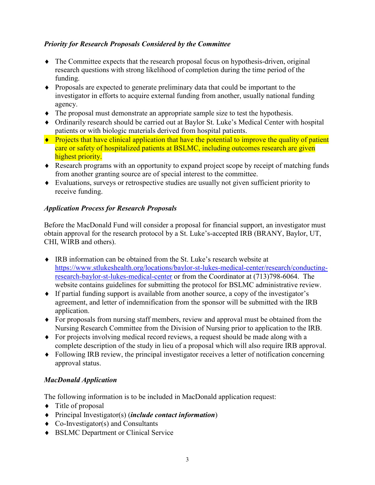# *Priority for Research Proposals Considered by the Committee*

- ♦ The Committee expects that the research proposal focus on hypothesis-driven, original research questions with strong likelihood of completion during the time period of the funding.
- ♦ Proposals are expected to generate preliminary data that could be important to the investigator in efforts to acquire external funding from another, usually national funding agency.
- ♦ The proposal must demonstrate an appropriate sample size to test the hypothesis.
- ♦ Ordinarily research should be carried out at Baylor St. Luke's Medical Center with hospital patients or with biologic materials derived from hospital patients.
- Projects that have clinical application that have the potential to improve the quality of patient care or safety of hospitalized patients at BSLMC, including outcomes research are given highest priority.
- ♦ Research programs with an opportunity to expand project scope by receipt of matching funds from another granting source are of special interest to the committee.
- ♦ Evaluations, surveys or retrospective studies are usually not given sufficient priority to receive funding.

## *Application Process for Research Proposals*

Before the MacDonald Fund will consider a proposal for financial support, an investigator must obtain approval for the research protocol by a St. Luke's-accepted IRB (BRANY, Baylor, UT, CHI, WIRB and others).

- ♦ IRB information can be obtained from the St. Luke's research website at [https://www.stlukeshealth.org/locations/baylor-st-lukes-medical-center/research/conducting](https://www.stlukeshealth.org/locations/baylor-st-lukes-medical-center/research/conducting-research-baylor-st-lukes-medical-center)[research-baylor-st-lukes-medical-center](https://www.stlukeshealth.org/locations/baylor-st-lukes-medical-center/research/conducting-research-baylor-st-lukes-medical-center) or from the Coordinator at (713)798-6064. The website contains guidelines for submitting the protocol for BSLMC administrative review.
- ♦ If partial funding support is available from another source, a copy of the investigator's agreement, and letter of indemnification from the sponsor will be submitted with the IRB application.
- ♦ For proposals from nursing staff members, review and approval must be obtained from the Nursing Research Committee from the Division of Nursing prior to application to the IRB.
- ♦ For projects involving medical record reviews, a request should be made along with a complete description of the study in lieu of a proposal which will also require IRB approval.
- ♦ Following IRB review, the principal investigator receives a letter of notification concerning approval status.

# *MacDonald Application*

The following information is to be included in MacDonald application request:

- ♦ Title of proposal
- ♦ Principal Investigator(s) (*include contact information*)
- ♦ Co-Investigator(s) and Consultants
- ♦ BSLMC Department or Clinical Service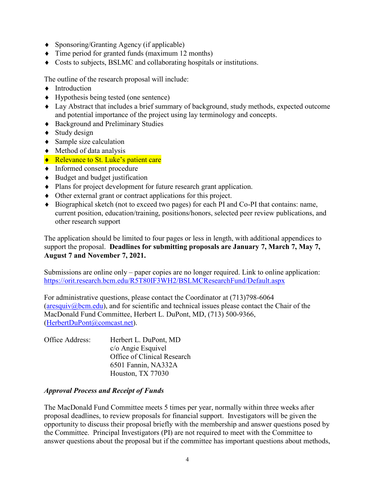- ♦ Sponsoring/Granting Agency (if applicable)
- ♦ Time period for granted funds (maximum 12 months)
- ♦ Costs to subjects, BSLMC and collaborating hospitals or institutions.

The outline of the research proposal will include:

- ♦ Introduction
- ♦ Hypothesis being tested (one sentence)
- ♦ Lay Abstract that includes a brief summary of background, study methods, expected outcome and potential importance of the project using lay terminology and concepts.
- ♦ Background and Preliminary Studies
- $\bullet$  Study design
- $\triangleleft$  Sample size calculation
- ♦ Method of data analysis
- ◆ Relevance to St. Luke's patient care
- ♦ Informed consent procedure
- ♦ Budget and budget justification
- ♦ Plans for project development for future research grant application.
- ♦ Other external grant or contract applications for this project.
- ♦ Biographical sketch (not to exceed two pages) for each PI and Co-PI that contains: name, current position, education/training, positions/honors, selected peer review publications, and other research support

The application should be limited to four pages or less in length, with additional appendices to support the proposal. **Deadlines for submitting proposals are January 7, March 7, May 7, August 7 and November 7, 2021.**

Submissions are online only – paper copies are no longer required. Link to online application: <https://orit.research.bcm.edu/R5T80IF3WH2/BSLMCResearchFund/Default.aspx>

For administrative questions, please contact the Coordinator at (713)798-6064  $(\text{areguiv@bcm.edu})$ , and for scientific and technical issues please contact the Chair of the MacDonald Fund Committee, Herbert L. DuPont, MD, (713) 500-9366, [\(HerbertDuPont@comcast.net\)](mailto:HerbertDuPont@comcast.net).

Office Address: Herbert L. DuPont, MD c/o Angie Esquivel Office of Clinical Research 6501 Fannin, NA332A Houston, TX 77030

#### *Approval Process and Receipt of Funds*

The MacDonald Fund Committee meets 5 times per year, normally within three weeks after proposal deadlines, to review proposals for financial support. Investigators will be given the opportunity to discuss their proposal briefly with the membership and answer questions posed by the Committee. Principal Investigators (PI) are not required to meet with the Committee to answer questions about the proposal but if the committee has important questions about methods,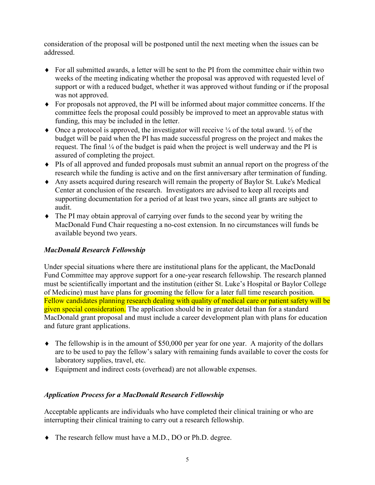consideration of the proposal will be postponed until the next meeting when the issues can be addressed.

- ♦ For all submitted awards, a letter will be sent to the PI from the committee chair within two weeks of the meeting indicating whether the proposal was approved with requested level of support or with a reduced budget, whether it was approved without funding or if the proposal was not approved.
- ♦ For proposals not approved, the PI will be informed about major committee concerns. If the committee feels the proposal could possibly be improved to meet an approvable status with funding, this may be included in the letter.
- $\bullet$  Once a protocol is approved, the investigator will receive  $\frac{1}{4}$  of the total award.  $\frac{1}{2}$  of the budget will be paid when the PI has made successful progress on the project and makes the request. The final ¼ of the budget is paid when the project is well underway and the PI is assured of completing the project.
- ♦ PIs of all approved and funded proposals must submit an annual report on the progress of the research while the funding is active and on the first anniversary after termination of funding.
- ♦ Any assets acquired during research will remain the property of Baylor St. Luke's Medical Center at conclusion of the research. Investigators are advised to keep all receipts and supporting documentation for a period of at least two years, since all grants are subject to audit.
- ♦ The PI may obtain approval of carrying over funds to the second year by writing the MacDonald Fund Chair requesting a no-cost extension. In no circumstances will funds be available beyond two years.

# *MacDonald Research Fellowship*

Under special situations where there are institutional plans for the applicant, the MacDonald Fund Committee may approve support for a one-year research fellowship. The research planned must be scientifically important and the institution (either St. Luke's Hospital or Baylor College of Medicine) must have plans for grooming the fellow for a later full time research position. Fellow candidates planning research dealing with quality of medical care or patient safety will be given special consideration. The application should be in greater detail than for a standard MacDonald grant proposal and must include a career development plan with plans for education and future grant applications.

- ♦ The fellowship is in the amount of \$50,000 per year for one year. A majority of the dollars are to be used to pay the fellow's salary with remaining funds available to cover the costs for laboratory supplies, travel, etc.
- ♦ Equipment and indirect costs (overhead) are not allowable expenses.

# *Application Process for a MacDonald Research Fellowship*

Acceptable applicants are individuals who have completed their clinical training or who are interrupting their clinical training to carry out a research fellowship.

♦ The research fellow must have a M.D., DO or Ph.D. degree.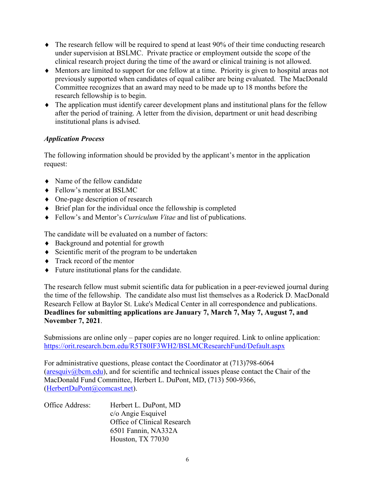- ♦ The research fellow will be required to spend at least 90% of their time conducting research under supervision at BSLMC. Private practice or employment outside the scope of the clinical research project during the time of the award or clinical training is not allowed.
- ♦ Mentors are limited to support for one fellow at a time. Priority is given to hospital areas not previously supported when candidates of equal caliber are being evaluated. The MacDonald Committee recognizes that an award may need to be made up to 18 months before the research fellowship is to begin.
- ♦ The application must identify career development plans and institutional plans for the fellow after the period of training. A letter from the division, department or unit head describing institutional plans is advised.

## *Application Process*

The following information should be provided by the applicant's mentor in the application request:

- Name of the fellow candidate
- ♦ Fellow's mentor at BSLMC
- ♦ One-page description of research
- ♦ Brief plan for the individual once the fellowship is completed
- ♦ Fellow's and Mentor's *Curriculum Vitae* and list of publications.

The candidate will be evaluated on a number of factors:

- ♦ Background and potential for growth
- ♦ Scientific merit of the program to be undertaken
- ♦ Track record of the mentor
- ♦ Future institutional plans for the candidate.

The research fellow must submit scientific data for publication in a peer-reviewed journal during the time of the fellowship. The candidate also must list themselves as a Roderick D. MacDonald Research Fellow at Baylor St. Luke's Medical Center in all correspondence and publications. **Deadlines for submitting applications are January 7, March 7, May 7, August 7, and November 7, 2021**.

Submissions are online only – paper copies are no longer required. Link to online application: <https://orit.research.bcm.edu/R5T80IF3WH2/BSLMCResearchFund/Default.aspx>

For administrative questions, please contact the Coordinator at (713)798-6064  $(\text{areguiv@bcm.edu})$ , and for scientific and technical issues please contact the Chair of the MacDonald Fund Committee, Herbert L. DuPont, MD, (713) 500-9366, [\(HerbertDuPont@comcast.net\)](mailto:HerbertDuPont@comcast.net).

| Office Address: | Herbert L. DuPont, MD       |
|-----------------|-----------------------------|
|                 | c/o Angie Esquivel          |
|                 | Office of Clinical Research |
|                 | 6501 Fannin, NA332A         |
|                 | Houston, TX 77030           |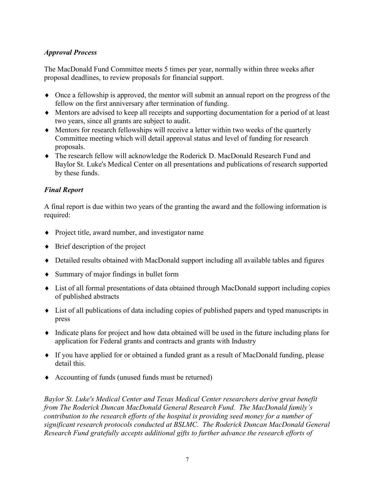# *Approval Process*

The MacDonald Fund Committee meets 5 times per year, normally within three weeks after proposal deadlines, to review proposals for financial support.

- ♦ Once a fellowship is approved, the mentor will submit an annual report on the progress of the fellow on the first anniversary after termination of funding.
- ♦ Mentors are advised to keep all receipts and supporting documentation for a period of at least two years, since all grants are subject to audit.
- ♦ Mentors for research fellowships will receive a letter within two weeks of the quarterly Committee meeting which will detail approval status and level of funding for research proposals.
- ♦ The research fellow will acknowledge the Roderick D. MacDonald Research Fund and Baylor St. Luke's Medical Center on all presentations and publications of research supported by these funds.

## *Final Report*

A final report is due within two years of the granting the award and the following information is required:

- ♦ Project title, award number, and investigator name
- $\bullet$  Brief description of the project
- ♦ Detailed results obtained with MacDonald support including all available tables and figures
- ♦ Summary of major findings in bullet form
- ♦ List of all formal presentations of data obtained through MacDonald support including copies of published abstracts
- ♦ List of all publications of data including copies of published papers and typed manuscripts in press
- ♦ Indicate plans for project and how data obtained will be used in the future including plans for application for Federal grants and contracts and grants with Industry
- ♦ If you have applied for or obtained a funded grant as a result of MacDonald funding, please detail this.
- ♦ Accounting of funds (unused funds must be returned)

*Baylor St. Luke's Medical Center and Texas Medical Center researchers derive great benefit from The Roderick Duncan MacDonald General Research Fund. The MacDonald family's contribution to the research efforts of the hospital is providing seed money for a number of significant research protocols conducted at BSLMC. The Roderick Duncan MacDonald General Research Fund gratefully accepts additional gifts to further advance the research efforts of*